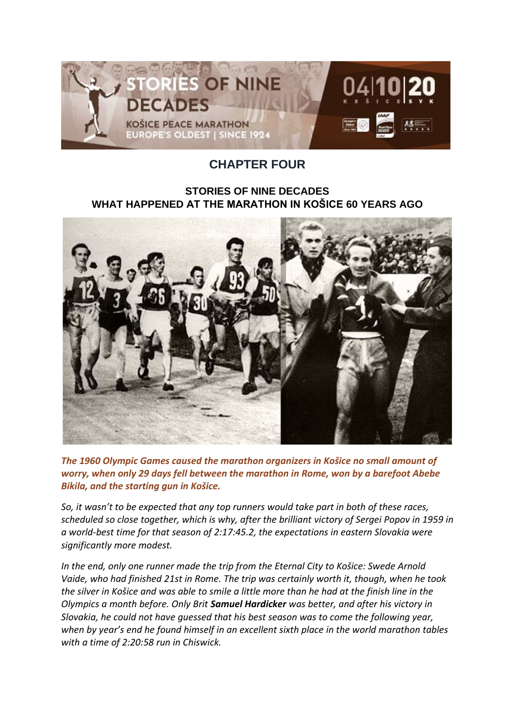

## **CHAPTER FOUR**

## **STORIES OF NINE DECADES WHAT HAPPENED AT THE MARATHON IN KOŠICE 60 YEARS AGO**



*The 1960 Olympic Games caused the marathon organizers in Košice no small amount of worry, when only 29 days fell between the marathon in Rome, won by a barefoot Abebe Bikila, and the starting gun in Košice.*

*So, it wasn't to be expected that any top runners would take part in both of these races, scheduled so close together, which is why, after the brilliant victory of Sergei Popov in 1959 in a world-best time for that season of 2:17:45.2, the expectations in eastern Slovakia were significantly more modest.*

*In the end, only one runner made the trip from the Eternal City to Košice: Swede Arnold Vaide, who had finished 21st in Rome. The trip was certainly worth it, though, when he took the silver in Košice and was able to smile a little more than he had at the finish line in the Olympics a month before. Only Brit Samuel Hardicker was better, and after his victory in Slovakia, he could not have guessed that his best season was to come the following year, when by year's end he found himself in an excellent sixth place in the world marathon tables with a time of 2:20:58 run in Chiswick.*